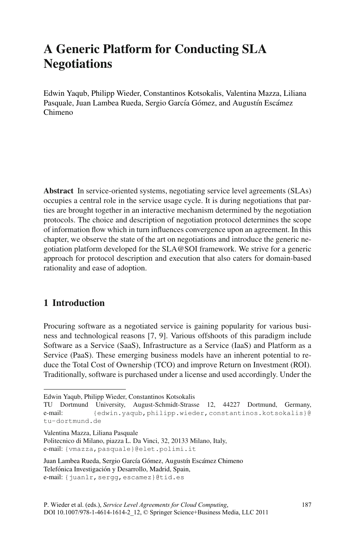# A Generic Platform for Conducting SLA Negotiations

Edwin Yaqub, Philipp Wieder, Constantinos Kotsokalis, Valentina Mazza, Liliana Pasquale, Juan Lambea Rueda, Sergio García Gómez, and Augustín Escámez Chimeno

Abstract In service-oriented systems, negotiating service level agreements (SLAs) occupies a central role in the service usage cycle. It is during negotiations that parties are brought together in an interactive mechanism determined by the negotiation protocols. The choice and description of negotiation protocol determines the scope of information flow which in turn influences convergence upon an agreement. In this chapter, we observe the state of the art on negotiations and introduce the generic negotiation platform developed for the SLA@SOI framework. We strive for a generic approach for protocol description and execution that also caters for domain-based rationality and ease of adoption.

## 1 Introduction

Procuring software as a negotiated service is gaining popularity for various business and technological reasons [7, 9]. Various offshoots of this paradigm include Software as a Service (SaaS), Infrastructure as a Service (IaaS) and Platform as a Service (PaaS). These emerging business models have an inherent potential to reduce the Total Cost of Ownership (TCO) and improve Return on Investment (ROI). Traditionally, software is purchased under a license and used accordingly. Under the

Edwin Yaqub, Philipp Wieder, Constantinos Kotsokalis

TU Dortmund University, August-Schmidt-Strasse 12, 44227 Dortmund, Germany, e-mail: {edwin.yaqub,philipp.wieder,constantinos.kotsokalis}@ tu-dortmund.de

Valentina Mazza, Liliana Pasquale

Politecnico di Milano, piazza L. Da Vinci, 32, 20133 Milano, Italy, e-mail: {vmazza,pasquale}@elet.polimi.it

Juan Lambea Rueda, Sergio García Gómez, Augustín Escámez Chimeno Telefónica Investigación y Desarrollo, Madrid, Spain, e-mail: { juanlr, sergg, escamez } @tid.es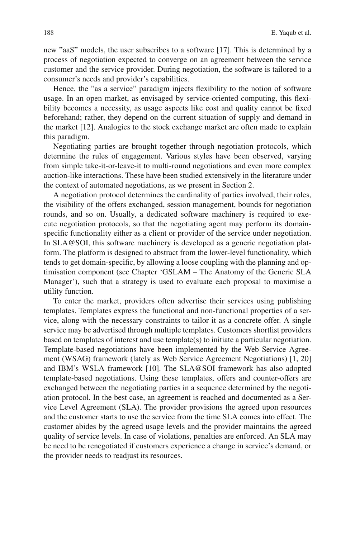new "aaS" models, the user subscribes to a software [17]. This is determined by a process of negotiation expected to converge on an agreement between the service customer and the service provider. During negotiation, the software is tailored to a consumer's needs and provider's capabilities.

Hence, the "as a service" paradigm injects flexibility to the notion of software usage. In an open market, as envisaged by service-oriented computing, this flexibility becomes a necessity, as usage aspects like cost and quality cannot be fixed beforehand; rather, they depend on the current situation of supply and demand in the market [12]. Analogies to the stock exchange market are often made to explain this paradigm.

Negotiating parties are brought together through negotiation protocols, which determine the rules of engagement. Various styles have been observed, varying from simple take-it-or-leave-it to multi-round negotiations and even more complex auction-like interactions. These have been studied extensively in the literature under the context of automated negotiations, as we present in Section 2.

A negotiation protocol determines the cardinality of parties involved, their roles, the visibility of the offers exchanged, session management, bounds for negotiation rounds, and so on. Usually, a dedicated software machinery is required to execute negotiation protocols, so that the negotiating agent may perform its domainspecific functionality either as a client or provider of the service under negotiation. In SLA@SOI, this software machinery is developed as a generic negotiation platform. The platform is designed to abstract from the lower-level functionality, which tends to get domain-specific, by allowing a loose coupling with the planning and optimisation component (see Chapter 'GSLAM – The Anatomy of the Generic SLA Manager'), such that a strategy is used to evaluate each proposal to maximise a utility function.

To enter the market, providers often advertise their services using publishing templates. Templates express the functional and non-functional properties of a service, along with the necessary constraints to tailor it as a concrete offer. A single service may be advertised through multiple templates. Customers shortlist providers based on templates of interest and use template(s) to initiate a particular negotiation. Template-based negotiations have been implemented by the Web Service Agreement (WSAG) framework (lately as Web Service Agreement Negotiations) [1, 20] and IBM's WSLA framework [10]. The SLA@SOI framework has also adopted template-based negotiations. Using these templates, offers and counter-offers are exchanged between the negotiating parties in a sequence determined by the negotiation protocol. In the best case, an agreement is reached and documented as a Service Level Agreement (SLA). The provider provisions the agreed upon resources and the customer starts to use the service from the time SLA comes into effect. The customer abides by the agreed usage levels and the provider maintains the agreed quality of service levels. In case of violations, penalties are enforced. An SLA may be need to be renegotiated if customers experience a change in service's demand, or the provider needs to readjust its resources.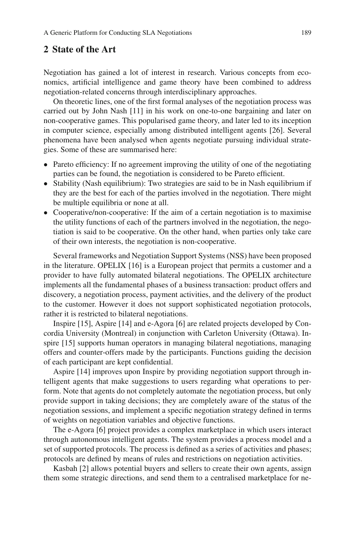## 2 State of the Art

Negotiation has gained a lot of interest in research. Various concepts from economics, artificial intelligence and game theory have been combined to address negotiation-related concerns through interdisciplinary approaches.

On theoretic lines, one of the first formal analyses of the negotiation process was carried out by John Nash [11] in his work on one-to-one bargaining and later on non-cooperative games. This popularised game theory, and later led to its inception in computer science, especially among distributed intelligent agents [26]. Several phenomena have been analysed when agents negotiate pursuing individual strategies. Some of these are summarised here:

- Pareto efficiency: If no agreement improving the utility of one of the negotiating parties can be found, the negotiation is considered to be Pareto efficient.
- Stability (Nash equilibrium): Two strategies are said to be in Nash equilibrium if they are the best for each of the parties involved in the negotiation. There might be multiple equilibria or none at all.
- Cooperative/non-cooperative: If the aim of a certain negotiation is to maximise the utility functions of each of the partners involved in the negotiation, the negotiation is said to be cooperative. On the other hand, when parties only take care of their own interests, the negotiation is non-cooperative.

Several frameworks and Negotiation Support Systems (NSS) have been proposed in the literature. OPELIX [16] is a European project that permits a customer and a provider to have fully automated bilateral negotiations. The OPELIX architecture implements all the fundamental phases of a business transaction: product offers and discovery, a negotiation process, payment activities, and the delivery of the product to the customer. However it does not support sophisticated negotiation protocols, rather it is restricted to bilateral negotiations.

Inspire [15], Aspire [14] and e-Agora [6] are related projects developed by Concordia University (Montreal) in conjunction with Carleton University (Ottawa). Inspire [15] supports human operators in managing bilateral negotiations, managing offers and counter-offers made by the participants. Functions guiding the decision of each participant are kept confidential.

Aspire [14] improves upon Inspire by providing negotiation support through intelligent agents that make suggestions to users regarding what operations to perform. Note that agents do not completely automate the negotiation process, but only provide support in taking decisions; they are completely aware of the status of the negotiation sessions, and implement a specific negotiation strategy defined in terms of weights on negotiation variables and objective functions.

The e-Agora [6] project provides a complex marketplace in which users interact through autonomous intelligent agents. The system provides a process model and a set of supported protocols. The process is defined as a series of activities and phases; protocols are defined by means of rules and restrictions on negotiation activities.

Kasbah [2] allows potential buyers and sellers to create their own agents, assign them some strategic directions, and send them to a centralised marketplace for ne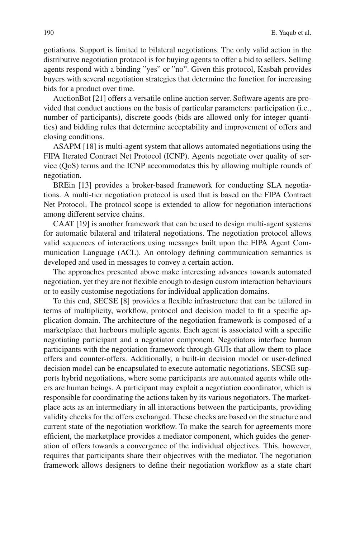gotiations. Support is limited to bilateral negotiations. The only valid action in the distributive negotiation protocol is for buying agents to offer a bid to sellers. Selling agents respond with a binding "yes" or "no". Given this protocol, Kasbah provides buyers with several negotiation strategies that determine the function for increasing bids for a product over time.

AuctionBot [21] offers a versatile online auction server. Software agents are provided that conduct auctions on the basis of particular parameters: participation (i.e., number of participants), discrete goods (bids are allowed only for integer quantities) and bidding rules that determine acceptability and improvement of offers and closing conditions.

ASAPM [18] is multi-agent system that allows automated negotiations using the FIPA Iterated Contract Net Protocol (ICNP). Agents negotiate over quality of service (QoS) terms and the ICNP accommodates this by allowing multiple rounds of negotiation.

BREin [13] provides a broker-based framework for conducting SLA negotiations. A multi-tier negotiation protocol is used that is based on the FIPA Contract Net Protocol. The protocol scope is extended to allow for negotiation interactions among different service chains.

CAAT [19] is another framework that can be used to design multi-agent systems for automatic bilateral and trilateral negotiations. The negotiation protocol allows valid sequences of interactions using messages built upon the FIPA Agent Communication Language (ACL). An ontology defining communication semantics is developed and used in messages to convey a certain action.

The approaches presented above make interesting advances towards automated negotiation, yet they are not flexible enough to design custom interaction behaviours or to easily customise negotiations for individual application domains.

To this end, SECSE [8] provides a flexible infrastructure that can be tailored in terms of multiplicity, workflow, protocol and decision model to fit a specific application domain. The architecture of the negotiation framework is composed of a marketplace that harbours multiple agents. Each agent is associated with a specific negotiating participant and a negotiator component. Negotiators interface human participants with the negotiation framework through GUIs that allow them to place offers and counter-offers. Additionally, a built-in decision model or user-defined decision model can be encapsulated to execute automatic negotiations. SECSE supports hybrid negotiations, where some participants are automated agents while others are human beings. A participant may exploit a negotiation coordinator, which is responsible for coordinating the actions taken by its various negotiators. The marketplace acts as an intermediary in all interactions between the participants, providing validity checks for the offers exchanged. These checks are based on the structure and current state of the negotiation workflow. To make the search for agreements more efficient, the marketplace provides a mediator component, which guides the generation of offers towards a convergence of the individual objectives. This, however, requires that participants share their objectives with the mediator. The negotiation framework allows designers to define their negotiation workflow as a state chart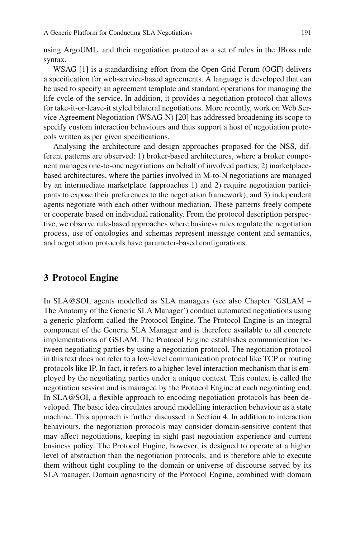using ArgoUML, and their negotiation protocol as a set of rules in the JBoss rule syntax.

WSAG [1] is a standardising effort from the Open Grid Forum (OGF) delivers a specification for web-service-based agreements. A language is developed that can be used to specify an agreement template and standard operations for managing the life cycle of the service. In addition, it provides a negotiation protocol that allows for take-it-or-leave-it styled bilateral negotiations. More recently, work on Web Service Agreement Negotiation (WSAG-N) [20] has addressed broadening its scope to specify custom interaction behaviours and thus support a host of negotiation protocols written as per given specifications.

Analysing the architecture and design approaches proposed for the NSS, different patterns are observed: 1) broker-based architectures, where a broker component manages one-to-one negotiations on behalf of involved parties; 2) marketplacebased architectures, where the parties involved in M-to-N negotiations are managed by an intermediate marketplace (approaches 1) and 2) require negotiation participants to expose their preferences to the negotiation framework); and 3) independent agents negotiate with each other without mediation. These patterns freely compete or cooperate based on individual rationality. From the protocol description perspective, we observe rule-based approaches where business rules regulate the negotiation process, use of ontologies and schemas represent message content and semantics, and negotiation protocols have parameter-based configurations.

#### 3 Protocol Engine

In SLA@SOI, agents modelled as SLA managers (see also Chapter 'GSLAM – The Anatomy of the Generic SLA Manager') conduct automated negotiations using a generic platform called the Protocol Engine. The Protocol Engine is an integral component of the Generic SLA Manager and is therefore available to all concrete implementations of GSLAM. The Protocol Engine establishes communication between negotiating parties by using a negotiation protocol. The negotiation protocol in this text does not refer to a low-level communication protocol like TCP or routing protocols like IP. In fact, it refers to a higher-level interaction mechanism that is employed by the negotiating parties under a unique context. This context is called the negotiation session and is managed by the Protocol Engine at each negotiating end. In SLA@SOI, a flexible approach to encoding negotiation protocols has been developed. The basic idea circulates around modelling interaction behaviour as a state machine. This approach is further discussed in Section 4. In addition to interaction behaviours, the negotiation protocols may consider domain-sensitive content that may affect negotiations, keeping in sight past negotiation experience and current business policy. The Protocol Engine, however, is designed to operate at a higher level of abstraction than the negotiation protocols, and is therefore able to execute them without tight coupling to the domain or universe of discourse served by its SLA manager. Domain agnosticity of the Protocol Engine, combined with domain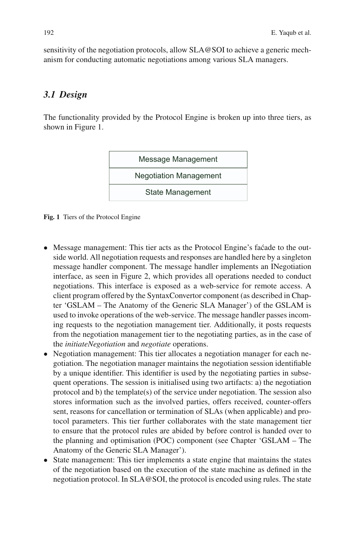sensitivity of the negotiation protocols, allow SLA@SOI to achieve a generic mechanism for conducting automatic negotiations among various SLA managers.

## *3.1 Design*

The functionality provided by the Protocol Engine is broken up into three tiers, as shown in Figure 1.



Fig. 1 Tiers of the Protocol Engine

- Message management: This tier acts as the Protocol Engine's facade to the outside world. All negotiation requests and responses are handled here by a singleton message handler component. The message handler implements an INegotiation interface, as seen in Figure 2, which provides all operations needed to conduct negotiations. This interface is exposed as a web-service for remote access. A client program offered by the SyntaxConvertor component (as described in Chapter 'GSLAM – The Anatomy of the Generic SLA Manager') of the GSLAM is used to invoke operations of the web-service. The message handler passes incoming requests to the negotiation management tier. Additionally, it posts requests from the negotiation management tier to the negotiating parties, as in the case of the *initiateNegotiation* and *negotiate* operations.
- Negotiation management: This tier allocates a negotiation manager for each negotiation. The negotiation manager maintains the negotiation session identifiable by a unique identifier. This identifier is used by the negotiating parties in subsequent operations. The session is initialised using two artifacts: a) the negotiation protocol and b) the template(s) of the service under negotiation. The session also stores information such as the involved parties, offers received, counter-offers sent, reasons for cancellation or termination of SLAs (when applicable) and protocol parameters. This tier further collaborates with the state management tier to ensure that the protocol rules are abided by before control is handed over to the planning and optimisation (POC) component (see Chapter 'GSLAM – The Anatomy of the Generic SLA Manager').
- State management: This tier implements a state engine that maintains the states of the negotiation based on the execution of the state machine as defined in the negotiation protocol. In SLA@SOI, the protocol is encoded using rules. The state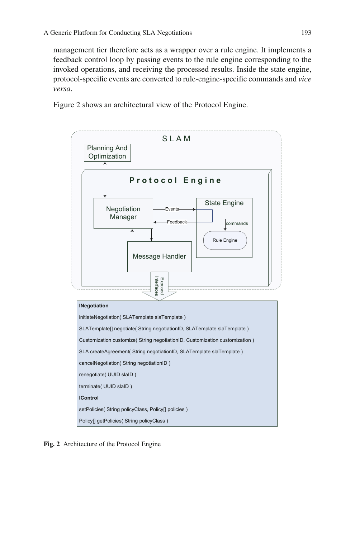management tier therefore acts as a wrapper over a rule engine. It implements a feedback control loop by passing events to the rule engine corresponding to the invoked operations, and receiving the processed results. Inside the state engine, protocol-specific events are converted to rule-engine-specific commands and *vice versa*.

Figure 2 shows an architectural view of the Protocol Engine.



Fig. 2 Architecture of the Protocol Engine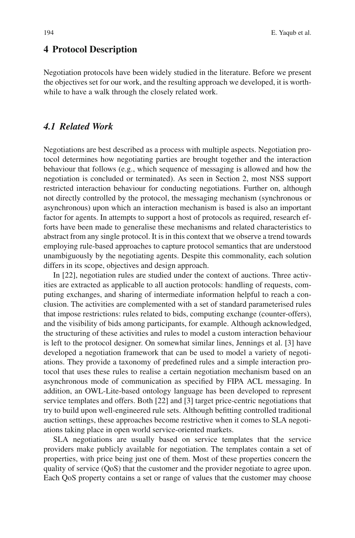#### 4 Protocol Description

Negotiation protocols have been widely studied in the literature. Before we present the objectives set for our work, and the resulting approach we developed, it is worthwhile to have a walk through the closely related work.

## *4.1 Related Work*

Negotiations are best described as a process with multiple aspects. Negotiation protocol determines how negotiating parties are brought together and the interaction behaviour that follows (e.g., which sequence of messaging is allowed and how the negotiation is concluded or terminated). As seen in Section 2, most NSS support restricted interaction behaviour for conducting negotiations. Further on, although not directly controlled by the protocol, the messaging mechanism (synchronous or asynchronous) upon which an interaction mechanism is based is also an important factor for agents. In attempts to support a host of protocols as required, research efforts have been made to generalise these mechanisms and related characteristics to abstract from any single protocol. It is in this context that we observe a trend towards employing rule-based approaches to capture protocol semantics that are understood unambiguously by the negotiating agents. Despite this commonality, each solution differs in its scope, objectives and design approach.

In [22], negotiation rules are studied under the context of auctions. Three activities are extracted as applicable to all auction protocols: handling of requests, computing exchanges, and sharing of intermediate information helpful to reach a conclusion. The activities are complemented with a set of standard parameterised rules that impose restrictions: rules related to bids, computing exchange (counter-offers), and the visibility of bids among participants, for example. Although acknowledged, the structuring of these activities and rules to model a custom interaction behaviour is left to the protocol designer. On somewhat similar lines, Jennings et al. [3] have developed a negotiation framework that can be used to model a variety of negotiations. They provide a taxonomy of predefined rules and a simple interaction protocol that uses these rules to realise a certain negotiation mechanism based on an asynchronous mode of communication as specified by FIPA ACL messaging. In addition, an OWL-Lite-based ontology language has been developed to represent service templates and offers. Both [22] and [3] target price-centric negotiations that try to build upon well-engineered rule sets. Although befitting controlled traditional auction settings, these approaches become restrictive when it comes to SLA negotiations taking place in open world service-oriented markets.

SLA negotiations are usually based on service templates that the service providers make publicly available for negotiation. The templates contain a set of properties, with price being just one of them. Most of these properties concern the quality of service (QoS) that the customer and the provider negotiate to agree upon. Each QoS property contains a set or range of values that the customer may choose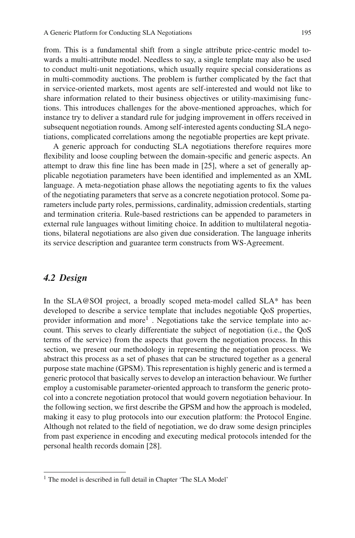from. This is a fundamental shift from a single attribute price-centric model towards a multi-attribute model. Needless to say, a single template may also be used to conduct multi-unit negotiations, which usually require special considerations as in multi-commodity auctions. The problem is further complicated by the fact that in service-oriented markets, most agents are self-interested and would not like to share information related to their business objectives or utility-maximising functions. This introduces challenges for the above-mentioned approaches, which for instance try to deliver a standard rule for judging improvement in offers received in subsequent negotiation rounds. Among self-interested agents conducting SLA negotiations, complicated correlations among the negotiable properties are kept private.

A generic approach for conducting SLA negotiations therefore requires more flexibility and loose coupling between the domain-specific and generic aspects. An attempt to draw this fine line has been made in [25], where a set of generally applicable negotiation parameters have been identified and implemented as an XML language. A meta-negotiation phase allows the negotiating agents to fix the values of the negotiating parameters that serve as a concrete negotiation protocol. Some parameters include party roles, permissions, cardinality, admission credentials, starting and termination criteria. Rule-based restrictions can be appended to parameters in external rule languages without limiting choice. In addition to multilateral negotiations, bilateral negotiations are also given due consideration. The language inherits its service description and guarantee term constructs from WS-Agreement.

#### *4.2 Design*

In the SLA@SOI project, a broadly scoped meta-model called SLA\* has been developed to describe a service template that includes negotiable QoS properties, provider information and more<sup>1</sup>. Negotiations take the service template into account. This serves to clearly differentiate the subject of negotiation (i.e., the QoS terms of the service) from the aspects that govern the negotiation process. In this section, we present our methodology in representing the negotiation process. We abstract this process as a set of phases that can be structured together as a general purpose state machine (GPSM). This representation is highly generic and is termed a generic protocol that basically serves to develop an interaction behaviour. We further employ a customisable parameter-oriented approach to transform the generic protocol into a concrete negotiation protocol that would govern negotiation behaviour. In the following section, we first describe the GPSM and how the approach is modeled, making it easy to plug protocols into our execution platform: the Protocol Engine. Although not related to the field of negotiation, we do draw some design principles from past experience in encoding and executing medical protocols intended for the personal health records domain [28].

<sup>&</sup>lt;sup>1</sup> The model is described in full detail in Chapter 'The SLA Model'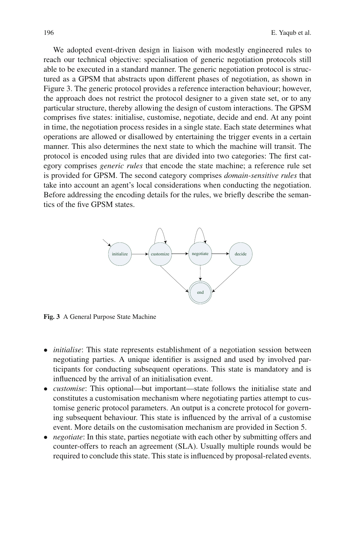We adopted event-driven design in liaison with modestly engineered rules to reach our technical objective: specialisation of generic negotiation protocols still able to be executed in a standard manner. The generic negotiation protocol is structured as a GPSM that abstracts upon different phases of negotiation, as shown in Figure 3. The generic protocol provides a reference interaction behaviour; however, the approach does not restrict the protocol designer to a given state set, or to any particular structure, thereby allowing the design of custom interactions. The GPSM comprises five states: initialise, customise, negotiate, decide and end. At any point in time, the negotiation process resides in a single state. Each state determines what operations are allowed or disallowed by entertaining the trigger events in a certain manner. This also determines the next state to which the machine will transit. The protocol is encoded using rules that are divided into two categories: The first category comprises *generic rules* that encode the state machine; a reference rule set is provided for GPSM. The second category comprises *domain-sensitive rules* that take into account an agent's local considerations when conducting the negotiation. Before addressing the encoding details for the rules, we briefly describe the semantics of the five GPSM states.



Fig. 3 A General Purpose State Machine

- *initialise*: This state represents establishment of a negotiation session between negotiating parties. A unique identifier is assigned and used by involved participants for conducting subsequent operations. This state is mandatory and is influenced by the arrival of an initialisation event.
- *customise*: This optional—but important—state follows the initialise state and constitutes a customisation mechanism where negotiating parties attempt to customise generic protocol parameters. An output is a concrete protocol for governing subsequent behaviour. This state is influenced by the arrival of a customise event. More details on the customisation mechanism are provided in Section 5.
- *negotiate*: In this state, parties negotiate with each other by submitting offers and counter-offers to reach an agreement (SLA). Usually multiple rounds would be required to conclude this state. This state is influenced by proposal-related events.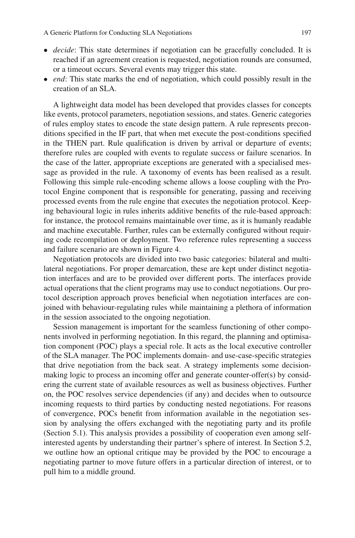- *decide*: This state determines if negotiation can be gracefully concluded. It is reached if an agreement creation is requested, negotiation rounds are consumed, or a timeout occurs. Several events may trigger this state.
- *end*: This state marks the end of negotiation, which could possibly result in the creation of an SLA.

A lightweight data model has been developed that provides classes for concepts like events, protocol parameters, negotiation sessions, and states. Generic categories of rules employ states to encode the state design pattern. A rule represents preconditions specified in the IF part, that when met execute the post-conditions specified in the THEN part. Rule qualification is driven by arrival or departure of events; therefore rules are coupled with events to regulate success or failure scenarios. In the case of the latter, appropriate exceptions are generated with a specialised message as provided in the rule. A taxonomy of events has been realised as a result. Following this simple rule-encoding scheme allows a loose coupling with the Protocol Engine component that is responsible for generating, passing and receiving processed events from the rule engine that executes the negotiation protocol. Keeping behavioural logic in rules inherits additive benefits of the rule-based approach: for instance, the protocol remains maintainable over time, as it is humanly readable and machine executable. Further, rules can be externally configured without requiring code recompilation or deployment. Two reference rules representing a success and failure scenario are shown in Figure 4.

Negotiation protocols are divided into two basic categories: bilateral and multilateral negotiations. For proper demarcation, these are kept under distinct negotiation interfaces and are to be provided over different ports. The interfaces provide actual operations that the client programs may use to conduct negotiations. Our protocol description approach proves beneficial when negotiation interfaces are conjoined with behaviour-regulating rules while maintaining a plethora of information in the session associated to the ongoing negotiation.

Session management is important for the seamless functioning of other components involved in performing negotiation. In this regard, the planning and optimisation component (POC) plays a special role. It acts as the local executive controller of the SLA manager. The POC implements domain- and use-case-specific strategies that drive negotiation from the back seat. A strategy implements some decisionmaking logic to process an incoming offer and generate counter-offer(s) by considering the current state of available resources as well as business objectives. Further on, the POC resolves service dependencies (if any) and decides when to outsource incoming requests to third parties by conducting nested negotiations. For reasons of convergence, POCs benefit from information available in the negotiation session by analysing the offers exchanged with the negotiating party and its profile (Section 5.1). This analysis provides a possibility of cooperation even among selfinterested agents by understanding their partner's sphere of interest. In Section 5.2, we outline how an optional critique may be provided by the POC to encourage a negotiating partner to move future offers in a particular direction of interest, or to pull him to a middle ground.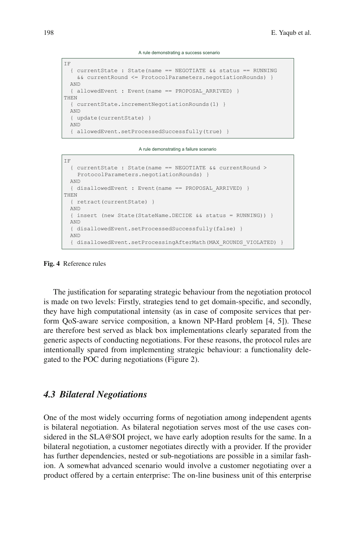```
A rule demonstrating a success scenario
```

```
IF
 { currentState : State(name == NEGOTIATE && status == RUNNING 
    && currentRound <= ProtocolParameters.negotiationRounds) } 
 AND 
 { allowedEvent : Event(name == PROPOSAL_ARRIVED) }
THEN
 { currentState.incrementNegotiationRounds(1) } 
 AND 
 { update(currentState) } 
 AND
 { allowedEvent.setProcessedSuccessfully(true) }
```
A rule demonstrating a failure scenario

```
IF
 { currentState : State(name == NEGOTIATE && currentRound > 
    ProtocolParameters.negotiationRounds) } 
 AND 
 { disallowedEvent : Event(name == PROPOSAL_ARRIVED) }
THEN
 { retract(currentState) } 
 AND
 { insert (new State(StateName.DECIDE && status = RUNNING)) } 
 AND
  { disallowedEvent.setProcessedSuccessfully(false) } 
 AND
 { disallowedEvent.setProcessingAfterMath(MAX_ROUNDS_VIOLATED) }
```
Fig. 4 Reference rules

The justification for separating strategic behaviour from the negotiation protocol is made on two levels: Firstly, strategies tend to get domain-specific, and secondly, they have high computational intensity (as in case of composite services that perform QoS-aware service composition, a known NP-Hard problem [4, 5]). These are therefore best served as black box implementations clearly separated from the generic aspects of conducting negotiations. For these reasons, the protocol rules are intentionally spared from implementing strategic behaviour: a functionality delegated to the POC during negotiations (Figure 2).

## *4.3 Bilateral Negotiations*

One of the most widely occurring forms of negotiation among independent agents is bilateral negotiation. As bilateral negotiation serves most of the use cases considered in the SLA@SOI project, we have early adoption results for the same. In a bilateral negotiation, a customer negotiates directly with a provider. If the provider has further dependencies, nested or sub-negotiations are possible in a similar fashion. A somewhat advanced scenario would involve a customer negotiating over a product offered by a certain enterprise: The on-line business unit of this enterprise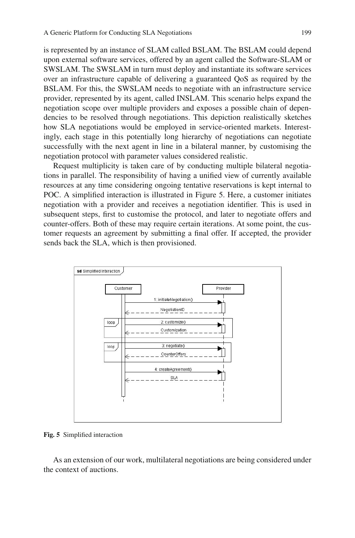is represented by an instance of SLAM called BSLAM. The BSLAM could depend upon external software services, offered by an agent called the Software-SLAM or SWSLAM. The SWSLAM in turn must deploy and instantiate its software services over an infrastructure capable of delivering a guaranteed QoS as required by the BSLAM. For this, the SWSLAM needs to negotiate with an infrastructure service provider, represented by its agent, called INSLAM. This scenario helps expand the negotiation scope over multiple providers and exposes a possible chain of dependencies to be resolved through negotiations. This depiction realistically sketches how SLA negotiations would be employed in service-oriented markets. Interestingly, each stage in this potentially long hierarchy of negotiations can negotiate successfully with the next agent in line in a bilateral manner, by customising the negotiation protocol with parameter values considered realistic.

Request multiplicity is taken care of by conducting multiple bilateral negotiations in parallel. The responsibility of having a unified view of currently available resources at any time considering ongoing tentative reservations is kept internal to POC. A simplified interaction is illustrated in Figure 5. Here, a customer initiates negotiation with a provider and receives a negotiation identifier. This is used in subsequent steps, first to customise the protocol, and later to negotiate offers and counter-offers. Both of these may require certain iterations. At some point, the customer requests an agreement by submitting a final offer. If accepted, the provider sends back the SLA, which is then provisioned.



Fig. 5 Simplified interaction

As an extension of our work, multilateral negotiations are being considered under the context of auctions.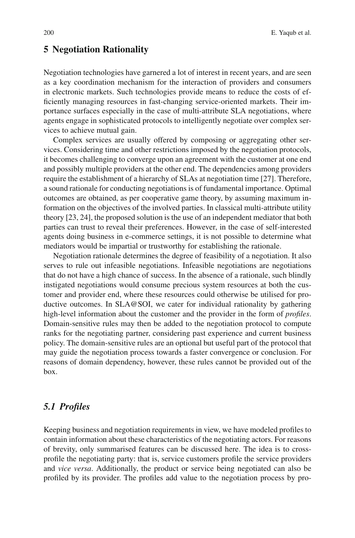### 5 Negotiation Rationality

Negotiation technologies have garnered a lot of interest in recent years, and are seen as a key coordination mechanism for the interaction of providers and consumers in electronic markets. Such technologies provide means to reduce the costs of efficiently managing resources in fast-changing service-oriented markets. Their importance surfaces especially in the case of multi-attribute SLA negotiations, where agents engage in sophisticated protocols to intelligently negotiate over complex services to achieve mutual gain.

Complex services are usually offered by composing or aggregating other services. Considering time and other restrictions imposed by the negotiation protocols, it becomes challenging to converge upon an agreement with the customer at one end and possibly multiple providers at the other end. The dependencies among providers require the establishment of a hierarchy of SLAs at negotiation time [27]. Therefore, a sound rationale for conducting negotiations is of fundamental importance. Optimal outcomes are obtained, as per cooperative game theory, by assuming maximum information on the objectives of the involved parties. In classical multi-attribute utility theory [23, 24], the proposed solution is the use of an independent mediator that both parties can trust to reveal their preferences. However, in the case of self-interested agents doing business in e-commerce settings, it is not possible to determine what mediators would be impartial or trustworthy for establishing the rationale.

Negotiation rationale determines the degree of feasibility of a negotiation. It also serves to rule out infeasible negotiations. Infeasible negotiations are negotiations that do not have a high chance of success. In the absence of a rationale, such blindly instigated negotiations would consume precious system resources at both the customer and provider end, where these resources could otherwise be utilised for productive outcomes. In SLA@SOI, we cater for individual rationality by gathering high-level information about the customer and the provider in the form of *profiles*. Domain-sensitive rules may then be added to the negotiation protocol to compute ranks for the negotiating partner, considering past experience and current business policy. The domain-sensitive rules are an optional but useful part of the protocol that may guide the negotiation process towards a faster convergence or conclusion. For reasons of domain dependency, however, these rules cannot be provided out of the box.

## *5.1 Profiles*

Keeping business and negotiation requirements in view, we have modeled profiles to contain information about these characteristics of the negotiating actors. For reasons of brevity, only summarised features can be discussed here. The idea is to crossprofile the negotiating party: that is, service customers profile the service providers and *vice versa*. Additionally, the product or service being negotiated can also be profiled by its provider. The profiles add value to the negotiation process by pro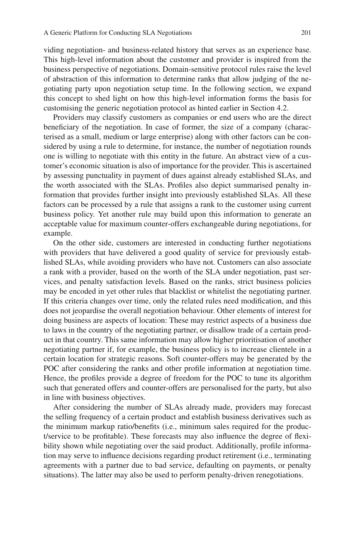viding negotiation- and business-related history that serves as an experience base. This high-level information about the customer and provider is inspired from the business perspective of negotiations. Domain-sensitive protocol rules raise the level of abstraction of this information to determine ranks that allow judging of the negotiating party upon negotiation setup time. In the following section, we expand this concept to shed light on how this high-level information forms the basis for customising the generic negotiation protocol as hinted earlier in Section 4.2.

Providers may classify customers as companies or end users who are the direct beneficiary of the negotiation. In case of former, the size of a company (characterised as a small, medium or large enterprise) along with other factors can be considered by using a rule to determine, for instance, the number of negotiation rounds one is willing to negotiate with this entity in the future. An abstract view of a customer's economic situation is also of importance for the provider. This is ascertained by assessing punctuality in payment of dues against already established SLAs, and the worth associated with the SLAs. Profiles also depict summarised penalty information that provides further insight into previously established SLAs. All these factors can be processed by a rule that assigns a rank to the customer using current business policy. Yet another rule may build upon this information to generate an acceptable value for maximum counter-offers exchangeable during negotiations, for example.

On the other side, customers are interested in conducting further negotiations with providers that have delivered a good quality of service for previously established SLAs, while avoiding providers who have not. Customers can also associate a rank with a provider, based on the worth of the SLA under negotiation, past services, and penalty satisfaction levels. Based on the ranks, strict business policies may be encoded in yet other rules that blacklist or whitelist the negotiating partner. If this criteria changes over time, only the related rules need modification, and this does not jeopardise the overall negotiation behaviour. Other elements of interest for doing business are aspects of location: These may restrict aspects of a business due to laws in the country of the negotiating partner, or disallow trade of a certain product in that country. This same information may allow higher prioritisation of another negotiating partner if, for example, the business policy is to increase clientele in a certain location for strategic reasons. Soft counter-offers may be generated by the POC after considering the ranks and other profile information at negotiation time. Hence, the profiles provide a degree of freedom for the POC to tune its algorithm such that generated offers and counter-offers are personalised for the party, but also in line with business objectives.

After considering the number of SLAs already made, providers may forecast the selling frequency of a certain product and establish business derivatives such as the minimum markup ratio/benefits (i.e., minimum sales required for the product/service to be profitable). These forecasts may also influence the degree of flexibility shown while negotiating over the said product. Additionally, profile information may serve to influence decisions regarding product retirement (i.e., terminating agreements with a partner due to bad service, defaulting on payments, or penalty situations). The latter may also be used to perform penalty-driven renegotiations.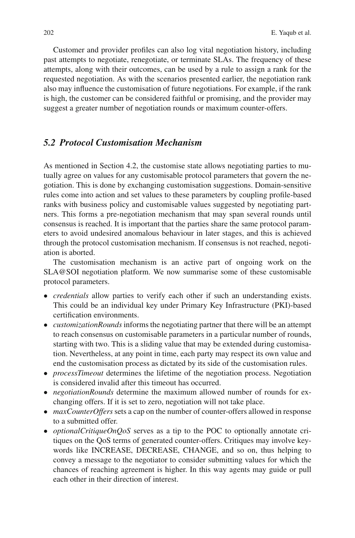Customer and provider profiles can also log vital negotiation history, including past attempts to negotiate, renegotiate, or terminate SLAs. The frequency of these attempts, along with their outcomes, can be used by a rule to assign a rank for the requested negotiation. As with the scenarios presented earlier, the negotiation rank also may influence the customisation of future negotiations. For example, if the rank is high, the customer can be considered faithful or promising, and the provider may suggest a greater number of negotiation rounds or maximum counter-offers.

#### *5.2 Protocol Customisation Mechanism*

As mentioned in Section 4.2, the customise state allows negotiating parties to mutually agree on values for any customisable protocol parameters that govern the negotiation. This is done by exchanging customisation suggestions. Domain-sensitive rules come into action and set values to these parameters by coupling profile-based ranks with business policy and customisable values suggested by negotiating partners. This forms a pre-negotiation mechanism that may span several rounds until consensus is reached. It is important that the parties share the same protocol parameters to avoid undesired anomalous behaviour in later stages, and this is achieved through the protocol customisation mechanism. If consensus is not reached, negotiation is aborted.

The customisation mechanism is an active part of ongoing work on the SLA@SOI negotiation platform. We now summarise some of these customisable protocol parameters.

- *credentials* allow parties to verify each other if such an understanding exists. This could be an individual key under Primary Key Infrastructure (PKI)-based certification environments.
- *customizationRounds* informs the negotiating partner that there will be an attempt to reach consensus on customisable parameters in a particular number of rounds, starting with two. This is a sliding value that may be extended during customisation. Nevertheless, at any point in time, each party may respect its own value and end the customisation process as dictated by its side of the customisation rules.
- *processTimeout* determines the lifetime of the negotiation process. Negotiation is considered invalid after this timeout has occurred.
- *negotiationRounds* determine the maximum allowed number of rounds for exchanging offers. If it is set to zero, negotiation will not take place.
- *maxCounterOffers* sets a cap on the number of counter-offers allowed in response to a submitted offer.
- *optionalCritiqueOnQoS* serves as a tip to the POC to optionally annotate critiques on the QoS terms of generated counter-offers. Critiques may involve keywords like INCREASE, DECREASE, CHANGE, and so on, thus helping to convey a message to the negotiator to consider submitting values for which the chances of reaching agreement is higher. In this way agents may guide or pull each other in their direction of interest.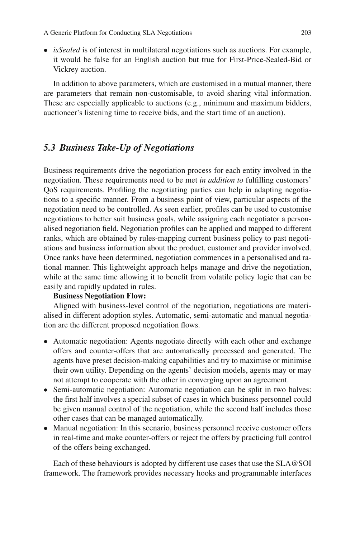• *isSealed* is of interest in multilateral negotiations such as auctions. For example, it would be false for an English auction but true for First-Price-Sealed-Bid or Vickrey auction.

In addition to above parameters, which are customised in a mutual manner, there are parameters that remain non-customisable, to avoid sharing vital information. These are especially applicable to auctions (e.g., minimum and maximum bidders, auctioneer's listening time to receive bids, and the start time of an auction).

## *5.3 Business Take-Up of Negotiations*

Business requirements drive the negotiation process for each entity involved in the negotiation. These requirements need to be met *in addition to* fulfilling customers' QoS requirements. Profiling the negotiating parties can help in adapting negotiations to a specific manner. From a business point of view, particular aspects of the negotiation need to be controlled. As seen earlier, profiles can be used to customise negotiations to better suit business goals, while assigning each negotiator a personalised negotiation field. Negotiation profiles can be applied and mapped to different ranks, which are obtained by rules-mapping current business policy to past negotiations and business information about the product, customer and provider involved. Once ranks have been determined, negotiation commences in a personalised and rational manner. This lightweight approach helps manage and drive the negotiation, while at the same time allowing it to benefit from volatile policy logic that can be easily and rapidly updated in rules.

#### Business Negotiation Flow:

Aligned with business-level control of the negotiation, negotiations are materialised in different adoption styles. Automatic, semi-automatic and manual negotiation are the different proposed negotiation flows.

- Automatic negotiation: Agents negotiate directly with each other and exchange offers and counter-offers that are automatically processed and generated. The agents have preset decision-making capabilities and try to maximise or minimise their own utility. Depending on the agents' decision models, agents may or may not attempt to cooperate with the other in converging upon an agreement.
- Semi-automatic negotiation: Automatic negotiation can be split in two halves: the first half involves a special subset of cases in which business personnel could be given manual control of the negotiation, while the second half includes those other cases that can be managed automatically.
- Manual negotiation: In this scenario, business personnel receive customer offers in real-time and make counter-offers or reject the offers by practicing full control of the offers being exchanged.

Each of these behaviours is adopted by different use cases that use the SLA@SOI framework. The framework provides necessary hooks and programmable interfaces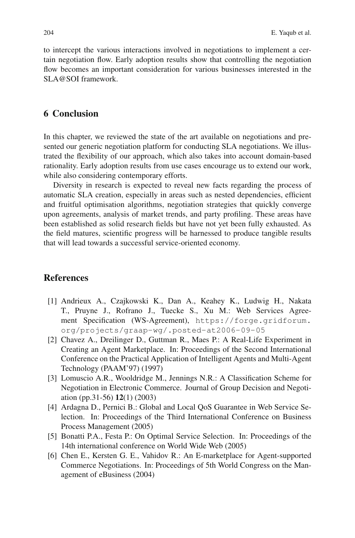to intercept the various interactions involved in negotiations to implement a certain negotiation flow. Early adoption results show that controlling the negotiation flow becomes an important consideration for various businesses interested in the SLA@SOI framework.

#### 6 Conclusion

In this chapter, we reviewed the state of the art available on negotiations and presented our generic negotiation platform for conducting SLA negotiations. We illustrated the flexibility of our approach, which also takes into account domain-based rationality. Early adoption results from use cases encourage us to extend our work, while also considering contemporary efforts.

Diversity in research is expected to reveal new facts regarding the process of automatic SLA creation, especially in areas such as nested dependencies, efficient and fruitful optimisation algorithms, negotiation strategies that quickly converge upon agreements, analysis of market trends, and party profiling. These areas have been established as solid research fields but have not yet been fully exhausted. As the field matures, scientific progress will be harnessed to produce tangible results that will lead towards a successful service-oriented economy.

## References

- [1] Andrieux A., Czajkowski K., Dan A., Keahey K., Ludwig H., Nakata T., Pruyne J., Rofrano J., Tuecke S., Xu M.: Web Services Agreement Specification (WS-Agreement), https://forge.gridforum. org/projects/graap-wg/.posted-at2006-09-05
- [2] Chavez A., Dreilinger D., Guttman R., Maes P.: A Real-Life Experiment in Creating an Agent Marketplace. In: Proceedings of the Second International Conference on the Practical Application of Intelligent Agents and Multi-Agent Technology (PAAM'97) (1997)
- [3] Lomuscio A.R., Wooldridge M., Jennings N.R.: A Classification Scheme for Negotiation in Electronic Commerce. Journal of Group Decision and Negotiation (pp.31-56) 12(1) (2003)
- [4] Ardagna D., Pernici B.: Global and Local QoS Guarantee in Web Service Selection. In: Proceedings of the Third International Conference on Business Process Management (2005)
- [5] Bonatti P.A., Festa P.: On Optimal Service Selection. In: Proceedings of the 14th international conference on World Wide Web (2005)
- [6] Chen E., Kersten G. E., Vahidov R.: An E-marketplace for Agent-supported Commerce Negotiations. In: Proceedings of 5th World Congress on the Management of eBusiness (2004)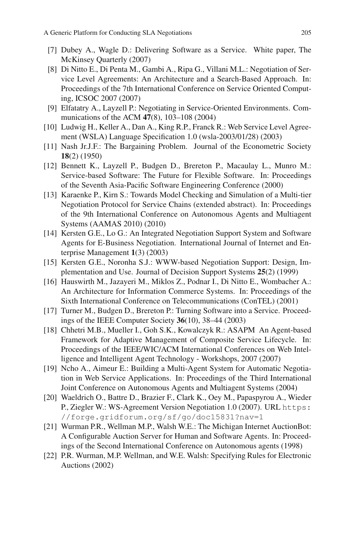- [7] Dubey A., Wagle D.: Delivering Software as a Service. White paper, The McKinsey Quarterly (2007)
- [8] Di Nitto E., Di Penta M., Gambi A., Ripa G., Villani M.L.: Negotiation of Service Level Agreements: An Architecture and a Search-Based Approach. In: Proceedings of the 7th International Conference on Service Oriented Computing, ICSOC 2007 (2007)
- [9] Elfatatry A., Layzell P.: Negotiating in Service-Oriented Environments. Communications of the ACM 47(8), 103–108 (2004)
- [10] Ludwig H., Keller A., Dan A., King R.P., Franck R.: Web Service Level Agreement (WSLA) Language Specification 1.0 (wsla-2003/01/28) (2003)
- [11] Nash Jr.J.F.: The Bargaining Problem. Journal of the Econometric Society 18(2) (1950)
- [12] Bennett K., Layzell P., Budgen D., Brereton P., Macaulay L., Munro M.: Service-based Software: The Future for Flexible Software. In: Proceedings of the Seventh Asia-Pacific Software Engineering Conference (2000)
- [13] Karaenke P., Kirn S.: Towards Model Checking and Simulation of a Multi-tier Negotiation Protocol for Service Chains (extended abstract). In: Proceedings of the 9th International Conference on Autonomous Agents and Multiagent Systems (AAMAS 2010) (2010)
- [14] Kersten G.E., Lo G.: An Integrated Negotiation Support System and Software Agents for E-Business Negotiation. International Journal of Internet and Enterprise Management 1(3) (2003)
- [15] Kersten G.E., Noronha S.J.: WWW-based Negotiation Support: Design, Implementation and Use. Journal of Decision Support Systems 25(2) (1999)
- [16] Hauswirth M., Jazayeri M., Miklos Z., Podnar I., Di Nitto E., Wombacher A.: An Architecture for Information Commerce Systems. In: Proceedings of the Sixth International Conference on Telecommunications (ConTEL) (2001)
- [17] Turner M., Budgen D., Brereton P.: Turning Software into a Service. Proceedings of the IEEE Computer Society 36(10), 38–44 (2003)
- [18] Chhetri M.B., Mueller I., Goh S.K., Kowalczyk R.: ASAPM An Agent-based Framework for Adaptive Management of Composite Service Lifecycle. In: Proceedings of the IEEE/WIC/ACM International Conferences on Web Intelligence and Intelligent Agent Technology - Workshops, 2007 (2007)
- [19] Ncho A., Aimeur E.: Building a Multi-Agent System for Automatic Negotiation in Web Service Applications. In: Proceedings of the Third International Joint Conference on Autonomous Agents and Multiagent Systems (2004)
- [20] Waeldrich O., Battre D., Brazier F., Clark K., Oey M., Papaspyrou A., Wieder P., Ziegler W.: WS-Agreement Version Negotiation 1.0 (2007). URL https: //forge.gridforum.org/sf/go/doc15831?nav=1
- [21] Wurman P.R., Wellman M.P., Walsh W.E.: The Michigan Internet AuctionBot: A Configurable Auction Server for Human and Software Agents. In: Proceedings of the Second International Conference on Autonomous agents (1998)
- [22] P.R. Wurman, M.P. Wellman, and W.E. Walsh: Specifying Rules for Electronic Auctions (2002)